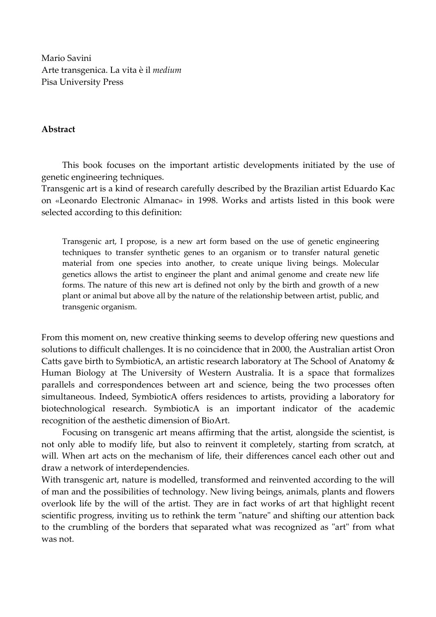Mario Savini Arte transgenica. La vita è il *medium*  Pisa University Press

## **Abstract**

This book focuses on the important artistic developments initiated by the use of genetic engineering techniques.

Transgenic art is a kind of research carefully described by the Brazilian artist Eduardo Kac on «Leonardo Electronic Almanac» in 1998. Works and artists listed in this book were selected according to this definition:

Transgenic art, I propose, is a new art form based on the use of genetic engineering techniques to transfer synthetic genes to an organism or to transfer natural genetic material from one species into another, to create unique living beings. Molecular genetics allows the artist to engineer the plant and animal genome and create new life forms. The nature of this new art is defined not only by the birth and growth of a new plant or animal but above all by the nature of the relationship between artist, public, and transgenic organism.

From this moment on, new creative thinking seems to develop offering new questions and solutions to difficult challenges. It is no coincidence that in 2000, the Australian artist Oron Catts gave birth to SymbioticA, an artistic research laboratory at The School of Anatomy & Human Biology at The University of Western Australia. It is a space that formalizes parallels and correspondences between art and science, being the two processes often simultaneous. Indeed, SymbioticA offers residences to artists, providing a laboratory for biotechnological research. SymbioticA is an important indicator of the academic recognition of the aesthetic dimension of BioArt.

Focusing on transgenic art means affirming that the artist, alongside the scientist, is not only able to modify life, but also to reinvent it completely, starting from scratch, at will. When art acts on the mechanism of life, their differences cancel each other out and draw a network of interdependencies.

With transgenic art, nature is modelled, transformed and reinvented according to the will of man and the possibilities of technology. New living beings, animals, plants and flowers overlook life by the will of the artist. They are in fact works of art that highlight recent scientific progress, inviting us to rethink the term "nature" and shifting our attention back to the crumbling of the borders that separated what was recognized as "art" from what was not.